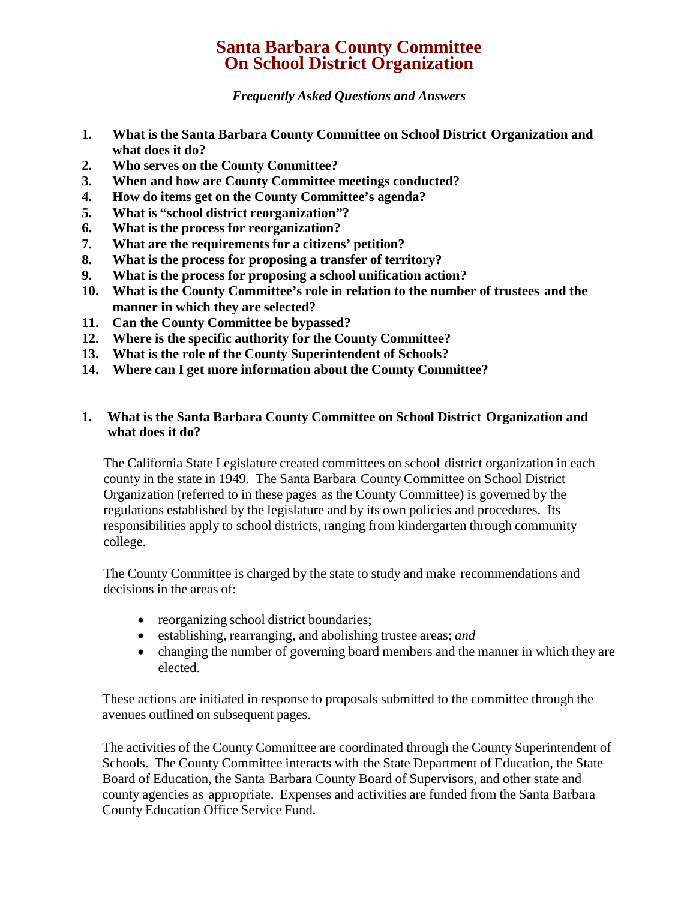# **Santa Barbara County Committee On School District Organization**

*Frequently Asked Questions and Answers*

- **1. What is the Santa Barbara County Committee on School District Organization and what does it do?**
- **2. Who serves on the County Committee?**
- **3. When and how are County Committee meetings conducted?**
- **4. How do items get on the County Committee's agenda?**
- **5. What is "school district reorganization"?**
- **6. What is the process for reorganization?**
- **7. What are the requirements for a citizens' petition?**
- **8. What is the process for proposing a transfer of territory?**
- **9. What is the process for proposing a school unification action?**
- **10. What is the County Committee's role in relation to the number of trustees and the manner in which they are selected?**
- **11. Can the County Committee be bypassed?**
- **12. Where is the specific authority for the County Committee?**
- **13. What is the role of the County Superintendent of Schools?**
- **14. Where can I get more information about the County Committee?**

# **1. What is the Santa Barbara County Committee on School District Organization and what does it do?**

The California State Legislature created committees on school district organization in each county in the state in 1949. The Santa Barbara County Committee on School District Organization (referred to in these pages as the County Committee) is governed by the regulations established by the legislature and by its own policies and procedures. Its responsibilities apply to school districts, ranging from kindergarten through community college.

The County Committee is charged by the state to study and make recommendations and decisions in the areas of:

- reorganizing school district boundaries;
- establishing, rearranging, and abolishing trustee areas; *and*
- changing the number of governing board members and the manner in which they are elected.

These actions are initiated in response to proposals submitted to the committee through the avenues outlined on subsequent pages.

The activities of the County Committee are coordinated through the County Superintendent of Schools. The County Committee interacts with the State Department of Education, the State Board of Education, the Santa Barbara County Board of Supervisors, and other state and county agencies as appropriate. Expenses and activities are funded from the Santa Barbara County Education Office Service Fund.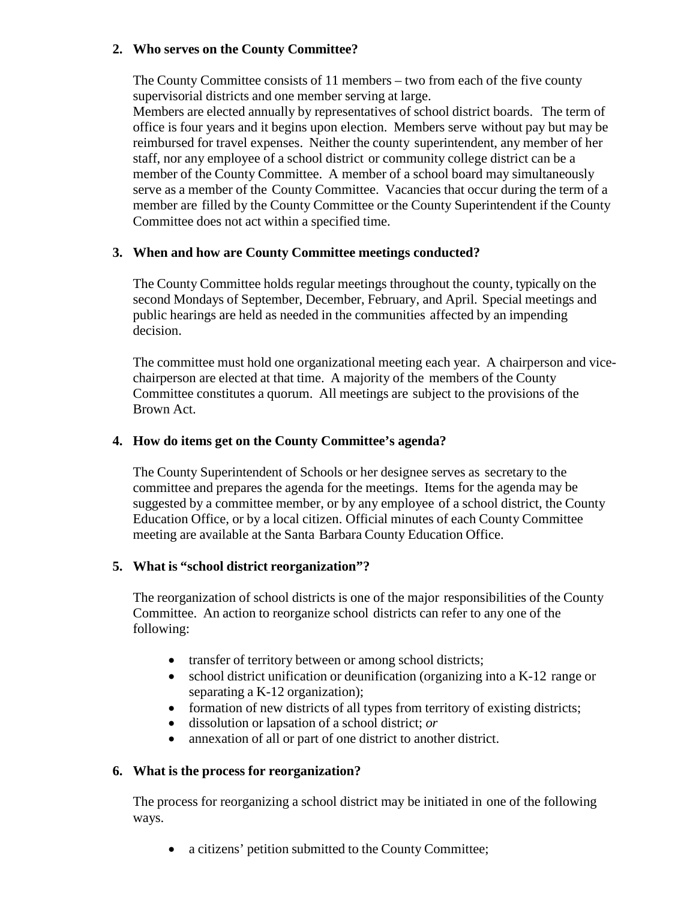# **2. Who serves on the County Committee?**

The County Committee consists of 11 members – two from each of the five county supervisorial districts and one member serving at large.

Members are elected annually by representatives of school district boards. The term of office is four years and it begins upon election. Members serve without pay but may be reimbursed for travel expenses. Neither the county superintendent, any member of her staff, nor any employee of a school district or community college district can be a member of the County Committee. A member of a school board may simultaneously serve as a member of the County Committee. Vacancies that occur during the term of a member are filled by the County Committee or the County Superintendent if the County Committee does not act within a specified time.

## **3. When and how are County Committee meetings conducted?**

The County Committee holds regular meetings throughout the county, typically on the second Mondays of September, December, February, and April. Special meetings and public hearings are held as needed in the communities affected by an impending decision.

The committee must hold one organizational meeting each year. A chairperson and vicechairperson are elected at that time. A majority of the members of the County Committee constitutes a quorum. All meetings are subject to the provisions of the Brown Act.

## **4. How do items get on the County Committee's agenda?**

The County Superintendent of Schools or her designee serves as secretary to the committee and prepares the agenda for the meetings. Items for the agenda may be suggested by a committee member, or by any employee of a school district, the County Education Office, or by a local citizen. Official minutes of each County Committee meeting are available at the Santa Barbara County Education Office.

#### **5. What is "school district reorganization"?**

The reorganization of school districts is one of the major responsibilities of the County Committee. An action to reorganize school districts can refer to any one of the following:

- transfer of territory between or among school districts;
- school district unification or deunification (organizing into a K-12 range or separating a K-12 organization);
- formation of new districts of all types from territory of existing districts;
- dissolution or lapsation of a school district; *or*
- annexation of all or part of one district to another district.

#### **6. What is the process for reorganization?**

The process for reorganizing a school district may be initiated in one of the following ways.

• a citizens' petition submitted to the County Committee;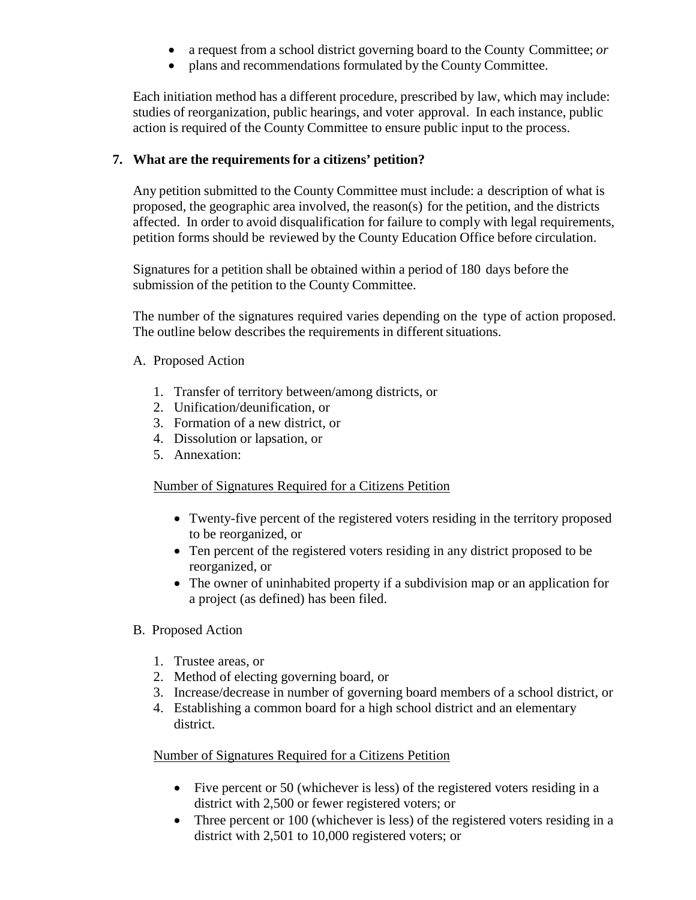- a request from a school district governing board to the County Committee; *or*
- plans and recommendations formulated by the County Committee.

Each initiation method has a different procedure, prescribed by law, which may include: studies of reorganization, public hearings, and voter approval. In each instance, public action is required of the County Committee to ensure public input to the process.

# **7. What are the requirements for a citizens' petition?**

Any petition submitted to the County Committee must include: a description of what is proposed, the geographic area involved, the reason(s) for the petition, and the districts affected. In order to avoid disqualification for failure to comply with legal requirements, petition forms should be reviewed by the County Education Office before circulation.

Signatures for a petition shall be obtained within a period of 180 days before the submission of the petition to the County Committee.

The number of the signatures required varies depending on the type of action proposed. The outline below describes the requirements in different situations.

- A. Proposed Action
	- 1. Transfer of territory between/among districts, or
	- 2. Unification/deunification, or
	- 3. Formation of a new district, or
	- 4. Dissolution or lapsation, or
	- 5. Annexation:

# Number of Signatures Required for a Citizens Petition

- Twenty-five percent of the registered voters residing in the territory proposed to be reorganized, or
- Ten percent of the registered voters residing in any district proposed to be reorganized, or
- The owner of uninhabited property if a subdivision map or an application for a project (as defined) has been filed.
- B. Proposed Action
	- 1. Trustee areas, or
	- 2. Method of electing governing board, or
	- 3. Increase/decrease in number of governing board members of a school district, or
	- 4. Establishing a common board for a high school district and an elementary district.

#### Number of Signatures Required for a Citizens Petition

- Five percent or 50 (whichever is less) of the registered voters residing in a district with 2,500 or fewer registered voters; or
- Three percent or 100 (whichever is less) of the registered voters residing in a district with 2,501 to 10,000 registered voters; or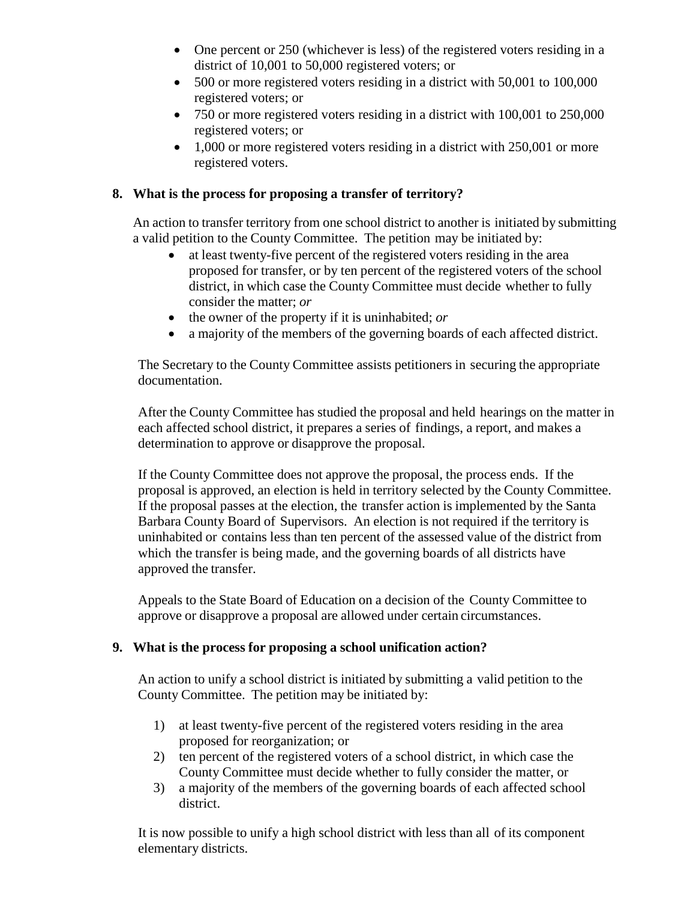- One percent or 250 (whichever is less) of the registered voters residing in a district of 10,001 to 50,000 registered voters; or
- 500 or more registered voters residing in a district with 50,001 to 100,000 registered voters; or
- 750 or more registered voters residing in a district with 100,001 to 250,000 registered voters; or
- 1,000 or more registered voters residing in a district with 250,001 or more registered voters.

# **8. What is the process for proposing a transfer of territory?**

An action to transfer territory from one school district to another is initiated by submitting a valid petition to the County Committee. The petition may be initiated by:

- at least twenty-five percent of the registered voters residing in the area proposed for transfer, or by ten percent of the registered voters of the school district, in which case the County Committee must decide whether to fully consider the matter; *or*
- the owner of the property if it is uninhabited; *or*
- a majority of the members of the governing boards of each affected district.

The Secretary to the County Committee assists petitioners in securing the appropriate documentation.

After the County Committee has studied the proposal and held hearings on the matter in each affected school district, it prepares a series of findings, a report, and makes a determination to approve or disapprove the proposal.

If the County Committee does not approve the proposal, the process ends. If the proposal is approved, an election is held in territory selected by the County Committee. If the proposal passes at the election, the transfer action is implemented by the Santa Barbara County Board of Supervisors. An election is not required if the territory is uninhabited or contains less than ten percent of the assessed value of the district from which the transfer is being made, and the governing boards of all districts have approved the transfer.

Appeals to the State Board of Education on a decision of the County Committee to approve or disapprove a proposal are allowed under certain circumstances.

# **9. What is the process for proposing a school unification action?**

An action to unify a school district is initiated by submitting a valid petition to the County Committee. The petition may be initiated by:

- 1) at least twenty-five percent of the registered voters residing in the area proposed for reorganization; or
- 2) ten percent of the registered voters of a school district, in which case the County Committee must decide whether to fully consider the matter, or
- 3) a majority of the members of the governing boards of each affected school district.

It is now possible to unify a high school district with less than all of its component elementary districts.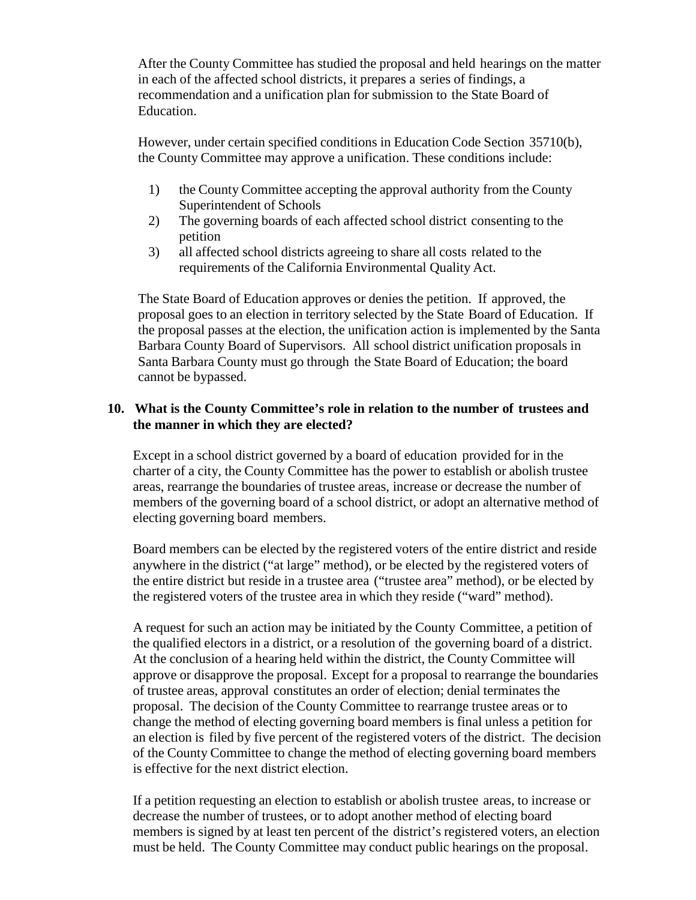After the County Committee has studied the proposal and held hearings on the matter in each of the affected school districts, it prepares a series of findings, a recommendation and a unification plan for submission to the State Board of Education.

However, under certain specified conditions in Education Code Section 35710(b), the County Committee may approve a unification. These conditions include:

- 1) the County Committee accepting the approval authority from the County Superintendent of Schools
- 2) The governing boards of each affected school district consenting to the petition
- 3) all affected school districts agreeing to share all costs related to the requirements of the California Environmental Quality Act.

The State Board of Education approves or denies the petition. If approved, the proposal goes to an election in territory selected by the State Board of Education. If the proposal passes at the election, the unification action is implemented by the Santa Barbara County Board of Supervisors. All school district unification proposals in Santa Barbara County must go through the State Board of Education; the board cannot be bypassed.

## **10. What is the County Committee's role in relation to the number of trustees and the manner in which they are elected?**

Except in a school district governed by a board of education provided for in the charter of a city, the County Committee has the power to establish or abolish trustee areas, rearrange the boundaries of trustee areas, increase or decrease the number of members of the governing board of a school district, or adopt an alternative method of electing governing board members.

Board members can be elected by the registered voters of the entire district and reside anywhere in the district ("at large" method), or be elected by the registered voters of the entire district but reside in a trustee area ("trustee area" method), or be elected by the registered voters of the trustee area in which they reside ("ward" method).

A request for such an action may be initiated by the County Committee, a petition of the qualified electors in a district, or a resolution of the governing board of a district. At the conclusion of a hearing held within the district, the County Committee will approve or disapprove the proposal. Except for a proposal to rearrange the boundaries of trustee areas, approval constitutes an order of election; denial terminates the proposal. The decision of the County Committee to rearrange trustee areas or to change the method of electing governing board members is final unless a petition for an election is filed by five percent of the registered voters of the district. The decision of the County Committee to change the method of electing governing board members is effective for the next district election.

If a petition requesting an election to establish or abolish trustee areas, to increase or decrease the number of trustees, or to adopt another method of electing board members is signed by at least ten percent of the district's registered voters, an election must be held. The County Committee may conduct public hearings on the proposal.